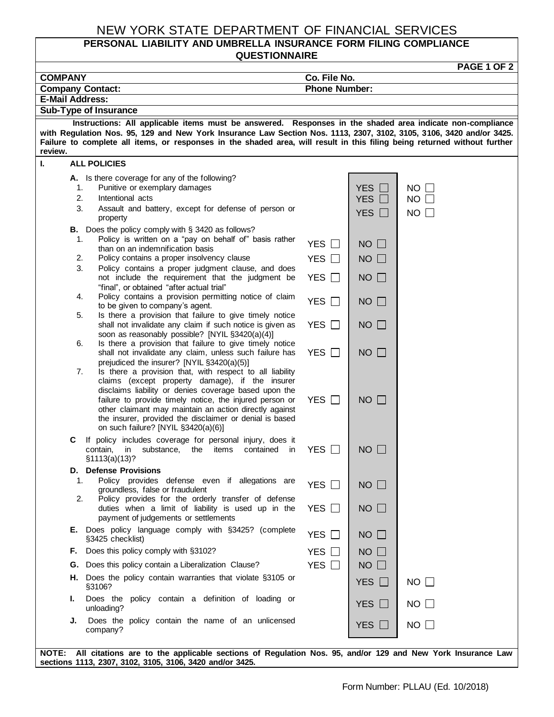## NEW YORK STATE DEPARTMENT OF FINANCIAL SERVICES

## **PERSONAL LIABILITY AND UMBRELLA INSURANCE FORM FILING COMPLIANCE QUESTIONNAIRE**

| <b>PAGE 1 OF 2</b>                                                                                                   |                                                                                                                                                         |                            |                            |             |  |  |  |  |
|----------------------------------------------------------------------------------------------------------------------|---------------------------------------------------------------------------------------------------------------------------------------------------------|----------------------------|----------------------------|-------------|--|--|--|--|
| <b>COMPANY</b>                                                                                                       |                                                                                                                                                         | Co. File No.               |                            |             |  |  |  |  |
| <b>Phone Number:</b><br><b>Company Contact:</b><br><b>E-Mail Address:</b>                                            |                                                                                                                                                         |                            |                            |             |  |  |  |  |
| Sub-Type of Insurance                                                                                                |                                                                                                                                                         |                            |                            |             |  |  |  |  |
| Instructions: All applicable items must be answered. Responses in the shaded area indicate non-compliance            |                                                                                                                                                         |                            |                            |             |  |  |  |  |
| with Regulation Nos. 95, 129 and New York Insurance Law Section Nos. 1113, 2307, 3102, 3105, 3106, 3420 and/or 3425. |                                                                                                                                                         |                            |                            |             |  |  |  |  |
| review.                                                                                                              | Failure to complete all items, or responses in the shaded area, will result in this filing being returned without further                               |                            |                            |             |  |  |  |  |
| ı.                                                                                                                   | <b>ALL POLICIES</b>                                                                                                                                     |                            |                            |             |  |  |  |  |
|                                                                                                                      | A. Is there coverage for any of the following?                                                                                                          |                            |                            |             |  |  |  |  |
| 1.                                                                                                                   | Punitive or exemplary damages                                                                                                                           |                            | <b>YES</b>                 | $NO$ $\Box$ |  |  |  |  |
| 2.                                                                                                                   | Intentional acts                                                                                                                                        |                            | <b>YES</b><br>$\mathbf{1}$ | $NO$ $\Box$ |  |  |  |  |
| 3.                                                                                                                   | Assault and battery, except for defense of person or<br>property                                                                                        |                            | YES $\Box$                 | $NO$ $\Box$ |  |  |  |  |
|                                                                                                                      | B. Does the policy comply with § 3420 as follows?                                                                                                       |                            |                            |             |  |  |  |  |
| 1.                                                                                                                   | Policy is written on a "pay on behalf of" basis rather<br>than on an indemnification basis                                                              | YES $\Box$                 | $NO$ $\Box$                |             |  |  |  |  |
| 2.                                                                                                                   | Policy contains a proper insolvency clause                                                                                                              | YES $\Box$                 | $NO$ $\Box$                |             |  |  |  |  |
| 3.                                                                                                                   | Policy contains a proper judgment clause, and does                                                                                                      |                            |                            |             |  |  |  |  |
| 4.                                                                                                                   | not include the requirement that the judgment be<br>"final", or obtained "after actual trial"<br>Policy contains a provision permitting notice of claim | YES $\Box$                 | $NO$ $\Box$                |             |  |  |  |  |
|                                                                                                                      | to be given to company's agent.                                                                                                                         | YES □                      | $NO$ $\Box$                |             |  |  |  |  |
| 5.                                                                                                                   | Is there a provision that failure to give timely notice                                                                                                 |                            |                            |             |  |  |  |  |
|                                                                                                                      | shall not invalidate any claim if such notice is given as<br>soon as reasonably possible? [NYIL §3420(a)(4)]                                            | YES $\Box$                 | $NO$ $\Box$                |             |  |  |  |  |
| 6.                                                                                                                   | Is there a provision that failure to give timely notice                                                                                                 |                            |                            |             |  |  |  |  |
|                                                                                                                      | shall not invalidate any claim, unless such failure has                                                                                                 | YES $\Box$                 | $NO$ $\Box$                |             |  |  |  |  |
| 7.                                                                                                                   | prejudiced the insurer? [NYIL §3420(a)(5)]<br>Is there a provision that, with respect to all liability                                                  |                            |                            |             |  |  |  |  |
|                                                                                                                      | claims (except property damage), if the insurer                                                                                                         |                            |                            |             |  |  |  |  |
|                                                                                                                      | disclaims liability or denies coverage based upon the<br>failure to provide timely notice, the injured person or                                        | YES □                      | $NO$ $\Box$                |             |  |  |  |  |
|                                                                                                                      | other claimant may maintain an action directly against                                                                                                  |                            |                            |             |  |  |  |  |
|                                                                                                                      | the insurer, provided the disclaimer or denial is based                                                                                                 |                            |                            |             |  |  |  |  |
|                                                                                                                      | on such failure? [NYIL §3420(a)(6)]                                                                                                                     |                            |                            |             |  |  |  |  |
| С                                                                                                                    | If policy includes coverage for personal injury, does it<br>substance,<br>the<br>items<br>contained<br>contain,<br>in<br><i>in</i>                      | YES $\Box$                 | $NO$ $\Box$                |             |  |  |  |  |
|                                                                                                                      | \$1113(a)(13)?                                                                                                                                          |                            |                            |             |  |  |  |  |
| υ.                                                                                                                   | <b>Defense Provisions</b>                                                                                                                               |                            |                            |             |  |  |  |  |
| 1.                                                                                                                   | Policy provides defense even if allegations are<br>groundless, false or fraudulent                                                                      | YES $\Box$                 | $NO$ $\Box$                |             |  |  |  |  |
| 2.                                                                                                                   | Policy provides for the orderly transfer of defense                                                                                                     |                            |                            |             |  |  |  |  |
|                                                                                                                      | duties when a limit of liability is used up in the                                                                                                      | YES $\Box$                 | $NO$ $\Box$                |             |  |  |  |  |
|                                                                                                                      | payment of judgements or settlements                                                                                                                    |                            |                            |             |  |  |  |  |
|                                                                                                                      | E. Does policy language comply with §3425? (complete<br>§3425 checklist)                                                                                | YES □                      | $NO$ $\Box$                |             |  |  |  |  |
|                                                                                                                      | F. Does this policy comply with §3102?                                                                                                                  | <b>YES</b><br>$\mathbf{L}$ | $NO$ $\Box$                |             |  |  |  |  |
| G.                                                                                                                   | Does this policy contain a Liberalization Clause?                                                                                                       | YES $\Box$                 | $NO$ $\Box$                |             |  |  |  |  |
| Н.                                                                                                                   | Does the policy contain warranties that violate §3105 or<br>§3106?                                                                                      |                            | YES $\Box$                 | $NO$ $\Box$ |  |  |  |  |
| ı.                                                                                                                   | Does the policy contain a definition of loading or<br>unloading?                                                                                        |                            | YES $\Box$                 | $NO$ $\Box$ |  |  |  |  |
| J.                                                                                                                   | Does the policy contain the name of an unlicensed<br>company?                                                                                           |                            | YES $\Box$                 | $NO$ $\Box$ |  |  |  |  |
|                                                                                                                      |                                                                                                                                                         |                            |                            |             |  |  |  |  |

**NOTE: All citations are to the applicable sections of Regulation Nos. 95, and/or 129 and New York Insurance Law sections 1113, 2307, 3102, 3105, 3106, 3420 and/or 3425.**